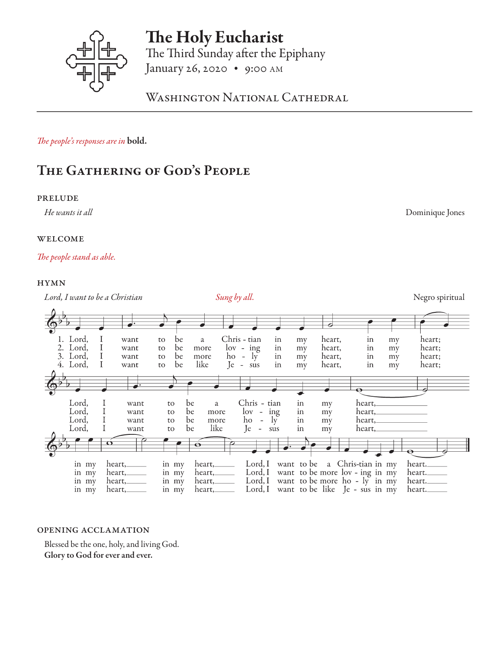# The Holy Eucharist

The Third Sunday after the Epiphany January 26, 2020 • 9:00 AM

WASHINGTON NATIONAL CATHEDRAL

*The people's responses are in* bold.

## THE GATHERING OF GOD'S PEOPLE

#### prelude

*He wants it all* Dominique Jones

### welcome

### *The people stand as able.*

#### **HYMN**

*Lord, I want to be a Christian Sung by all.* Negro spiritual 1. Lord, Chris - tian want to be  $\mathbf{a}$ in my 2. Lord,  $\bf I$ want to be more  $\frac{1}{x} - \frac{1}{x}$ in my 3. Lord,  $\bf{I}$ want to be more  $ho - ly$ in my  $\bf I$ like 4. Lord, be  $Je - sus$ want to in my



heart,

heart,

heart,

in

in

in

my

my

my

#### opening acclamation

Blessed be the one, holy, and living God. Glory to God for ever and ever.





heart;

heart;

heart;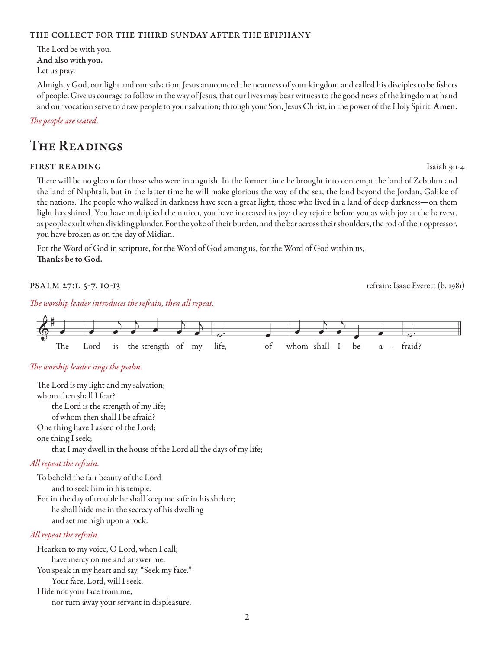### *All repeat the refrain.*

one thing I seek;

To behold the fair beauty of the Lord and to seek him in his temple. For in the day of trouble he shall keep me safe in his shelter; he shall hide me in the secrecy of his dwelling and set me high upon a rock.

that I may dwell in the house of the Lord all the days of my life;

### *All repeat the refrain.*

Hearken to my voice, O Lord, when I call; have mercy on me and answer me. You speak in my heart and say, "Seek my face." Your face, Lord, will I seek. Hide not your face from me, nor turn away your servant in displeasure.

*The worship leader introduces the refrain, then all repeat.* 

The Lord is the strength of life, of whom shall I be fraid? my a

psalm 27:1, 5-7, 10-13 refrain: Isaac Everett (b. 1981)

# The Readings

#### first reading Isaiah 9:1-4

There will be no gloom for those who were in anguish. In the former time he brought into contempt the land of Zebulun and the land of Naphtali, but in the latter time he will make glorious the way of the sea, the land beyond the Jordan, Galilee of the nations. The people who walked in darkness have seen a great light; those who lived in a land of deep darkness—on them light has shined. You have multiplied the nation, you have increased its joy; they rejoice before you as with joy at the harvest, as people exult when dividing plunder. For the yoke of their burden, and the bar across their shoulders, the rod of their oppressor, you have broken as on the day of Midian.

Thanks be to God.

*The worship leader sings the psalm.* 

whom then shall I fear?

The Lord is my light and my salvation;

the Lord is the strength of my life; of whom then shall I be afraid? One thing have I asked of the Lord;



#### the collect for the third sunday after the epiphany

The Lord be with you. And also with you. Let us pray.

Almighty God, our light and our salvation, Jesus announced the nearness of your kingdom and called his disciples to be fishers of people. Give us courage to follow in the way of Jesus, that our lives may bear witness to the good news of the kingdom at hand and our vocation serve to draw people to your salvation; through your Son, Jesus Christ, in the power of the Holy Spirit. Amen.

#### *The people are seated.*

2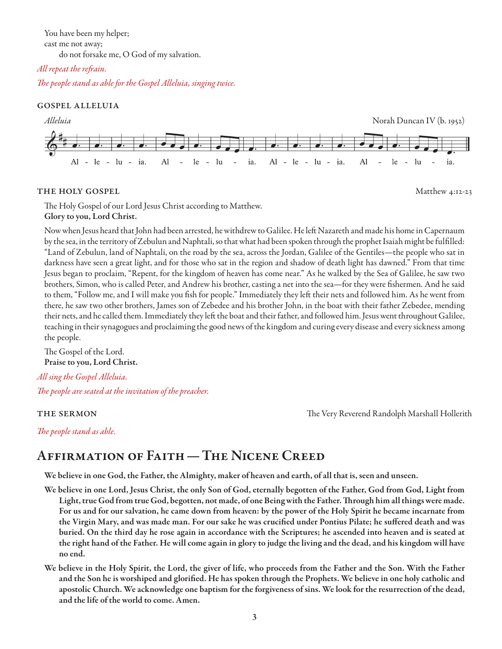You have been my helper; cast me not away; do not forsake me, O God of my salvation.

#### *All repeat the refrain.*

*The people stand as able for the Gospel Alleluia, singing twice.* 

#### gospel alleluia



#### THE HOLY GOSPEL Matthew 4:12-23

The Holy Gospel of our Lord Jesus Christ according to Matthew. Glory to you, Lord Christ.

Now when Jesus heard that John had been arrested, he withdrew to Galilee. He left Nazareth and made his home in Capernaum by the sea, in the territory of Zebulun and Naphtali, so that what had been spoken through the prophet Isaiah might be fulfilled: "Land of Zebulun, land of Naphtali, on the road by the sea, across the Jordan, Galilee of the Gentiles—the people who sat in darkness have seen a great light, and for those who sat in the region and shadow of death light has dawned." From that time Jesus began to proclaim, "Repent, for the kingdom of heaven has come near." As he walked by the Sea of Galilee, he saw two brothers, Simon, who is called Peter, and Andrew his brother, casting a net into the sea—for they were fishermen. And he said to them, "Follow me, and I will make you fish for people." Immediately they left their nets and followed him. As he went from there, he saw two other brothers, James son of Zebedee and his brother John, in the boat with their father Zebedee, mending their nets, and he called them. Immediately they left the boat and their father, and followed him. Jesus went throughout Galilee, teaching in their synagogues and proclaiming the good news of the kingdom and curing every disease and every sickness among the people.

The Gospel of the Lord. Praise to you, Lord Christ.

*All sing the Gospel Alleluia. The people are seated at the invitation of the preacher.*

THE SERMON GERMON CONSERVERSITY TO A SERMON THE Very Reverend Randolph Marshall Hollerith

*The people stand as able.*

## Affirmation of Faith—The Nicene Creed

We believe in one God, the Father, the Almighty, maker of heaven and earth, of all that is, seen and unseen.

- We believe in one Lord, Jesus Christ, the only Son of God, eternally begotten of the Father, God from God, Light from Light, true God from true God, begotten, not made, of one Being with the Father. Through him all things were made. For us and for our salvation, he came down from heaven: by the power of the Holy Spirit he became incarnate from the Virgin Mary, and was made man. For our sake he was crucified under Pontius Pilate; he suffered death and was buried. On the third day he rose again in accordance with the Scriptures; he ascended into heaven and is seated at the right hand of the Father. He will come again in glory to judge the living and the dead, and his kingdom will have no end.
- We believe in the Holy Spirit, the Lord, the giver of life, who proceeds from the Father and the Son. With the Father and the Son he is worshiped and glorified. He has spoken through the Prophets. We believe in one holy catholic and apostolic Church. We acknowledge one baptism for the forgiveness of sins. We look for the resurrection of the dead, and the life of the world to come. Amen.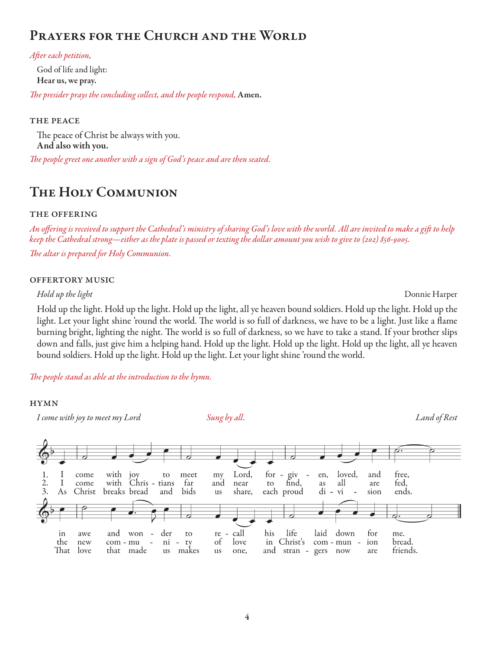## PRAYERS FOR THE CHURCH AND THE WORLD

*After each petition,*

God of life and light: Hear us, we pray.

*The presider prays the concluding collect, and the people respond,* Amen.

THE PEACE The peace of Christ be always with you. And also with you. *The people greet one another with a sign of God's peace and are then seated.*

## The Holy Communion

### the offering

*An offering is received to support the Cathedral's ministry of sharing God's love with the world. All are invited to make a gift to help keep the Cathedral strong—either as the plate is passed or texting the dollar amount you wish to give to (202) 856-9005. The altar is prepared for Holy Communion.* 

### offertory music

*Hold up the light* Donnie Harper

Hold up the light. Hold up the light. Hold up the light, all ye heaven bound soldiers. Hold up the light. Hold up the light. Let your light shine 'round the world. The world is so full of darkness, we have to be a light. Just like a flame burning bright, lighting the night. The world is so full of darkness, so we have to take a stand. If your brother slips down and falls, just give him a helping hand. Hold up the light. Hold up the light. Hold up the light, all ye heaven bound soldiers. Hold up the light. Hold up the light. Let your light shine 'round the world.

*The people stand as able at the introduction to the hymn.* 

#### hymn

*I come with joy to meet my Lord Sung by all. Land of Rest* 

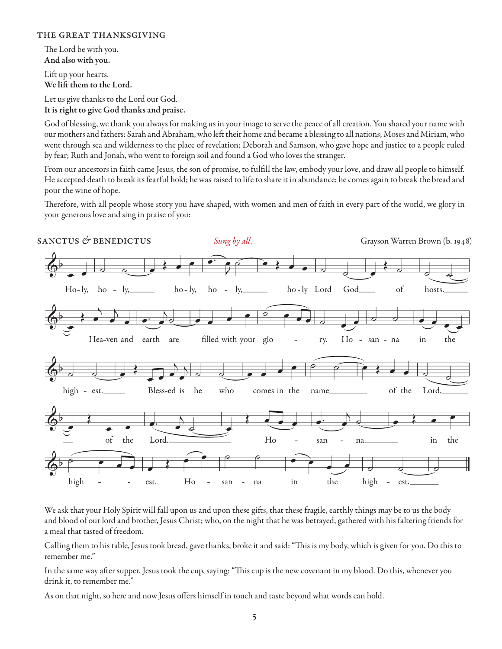#### the great thanksgiving

The Lord be with you. And also with you.

Lift up your hearts. We lift them to the Lord.

Let us give thanks to the Lord our God. It is right to give God thanks and praise.

God of blessing, we thank you always for making us in your image to serve the peace of all creation. You shared your name with our mothers and fathers: Sarah and Abraham, who left their home and became a blessing to all nations; Moses and Miriam, who went through sea and wilderness to the place of revelation; Deborah and Samson, who gave hope and justice to a people ruled by fear; Ruth and Jonah, who went to foreign soil and found a God who loves the stranger.

From our ancestors in faith came Jesus, the son of promise, to fulfill the law, embody your love, and draw all people to himself. He accepted death to break its fearful hold; he was raised to life to share it in abundance; he comes again to break the bread and pour the wine of hope.

Therefore, with all people whose story you have shaped, with women and men of faith in every part of the world, we glory in your generous love and sing in praise of you:



We ask that your Holy Spirit will fall upon us and upon these gifts, that these fragile, earthly things may be to us the body and blood of our lord and brother, Jesus Christ; who, on the night that he was betrayed, gathered with his faltering friends for a meal that tasted of freedom.

Calling them to his table, Jesus took bread, gave thanks, broke it and said: "This is my body, which is given for you. Do this to remember me."

In the same way after supper, Jesus took the cup, saying: "This cup is the new covenant in my blood. Do this, whenever you drink it, to remember me."

As on that night, so here and now Jesus offers himself in touch and taste beyond what words can hold.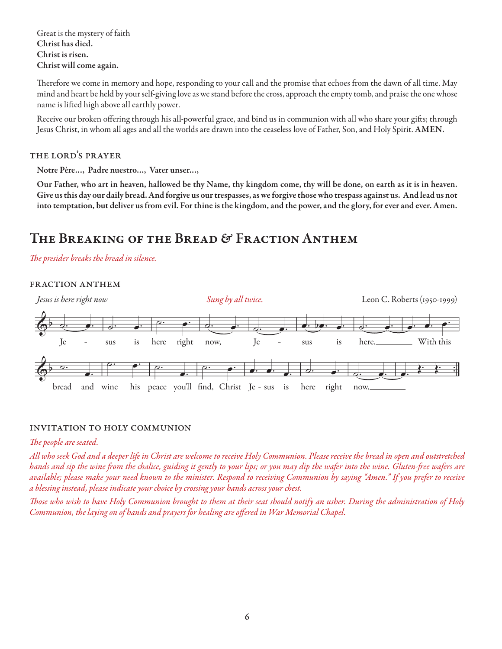Great is the mystery of faith Christ has died. Christ is risen. Christ will come again.

Therefore we come in memory and hope, responding to your call and the promise that echoes from the dawn of all time. May mind and heart be held by your self-giving love as we stand before the cross, approach the empty tomb, and praise the one whose name is lifted high above all earthly power.

Receive our broken offering through his all-powerful grace, and bind us in communion with all who share your gifts; through Jesus Christ, in whom all ages and all the worlds are drawn into the ceaseless love of Father, Son, and Holy Spirit. AMEN.

#### the lord's prayer

Notre Père…, Padre nuestro…, Vater unser…,

Our Father, who art in heaven, hallowed be thy Name, thy kingdom come, thy will be done, on earth as it is in heaven. Give us this day our daily bread. And forgive us our trespasses, as we forgive those who trespass against us. And lead us not into temptation, but deliver us from evil. For thine is the kingdom, and the power, and the glory, for ever and ever. Amen.

## The Breaking of the Bread & Fraction Anthem

#### *The presider breaks the bread in silence.*

#### fraction anthem



#### invitation to holy communion

#### *The people are seated.*

*All who seek God and a deeper life in Christ are welcome to receive Holy Communion. Please receive the bread in open and outstretched hands and sip the wine from the chalice, guiding it gently to your lips; or you may dip the wafer into the wine. Gluten-free wafers are available; please make your need known to the minister. Respond to receiving Communion by saying "Amen." If you prefer to receive a blessing instead, please indicate your choice by crossing your hands across your chest.* 

*Those who wish to have Holy Communion brought to them at their seat should notify an usher. During the administration of Holy Communion, the laying on of hands and prayers for healing are offered in War Memorial Chapel.*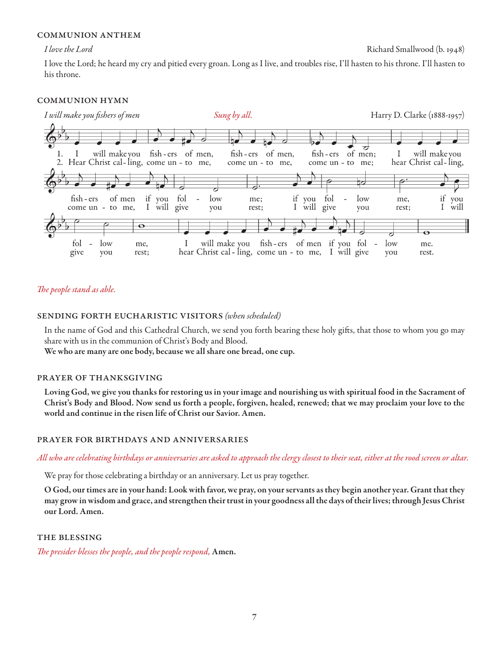#### communion anthem

I love the Lord; he heard my cry and pitied every groan. Long as I live, and troubles rise, I'll hasten to his throne. I'll hasten to his throne.

#### communion hymn



### *The people stand as able.*

#### sending forth eucharistic visitors *(when scheduled)*

In the name of God and this Cathedral Church, we send you forth bearing these holy gifts, that those to whom you go may share with us in the communion of Christ's Body and Blood.

We who are many are one body, because we all share one bread, one cup.

#### prayer of thanksgiving

Loving God, we give you thanks for restoring us in your image and nourishing us with spiritual food in the Sacrament of Christ's Body and Blood. Now send us forth a people, forgiven, healed, renewed; that we may proclaim your love to the world and continue in the risen life of Christ our Savior. Amen.

### prayer for birthdays and anniversaries

*All who are celebrating birthdays or anniversaries are asked to approach the clergy closest to their seat, either at the rood screen or altar.*

We pray for those celebrating a birthday or an anniversary. Let us pray together.

O God, our times are in your hand: Look with favor, we pray, on your servants as they begin another year. Grant that they may grow in wisdom and grace, and strengthen their trust in your goodness all the days of their lives; through Jesus Christ our Lord. Amen.

#### the blessing

*The presider blesses the people, and the people respond,* Amen.